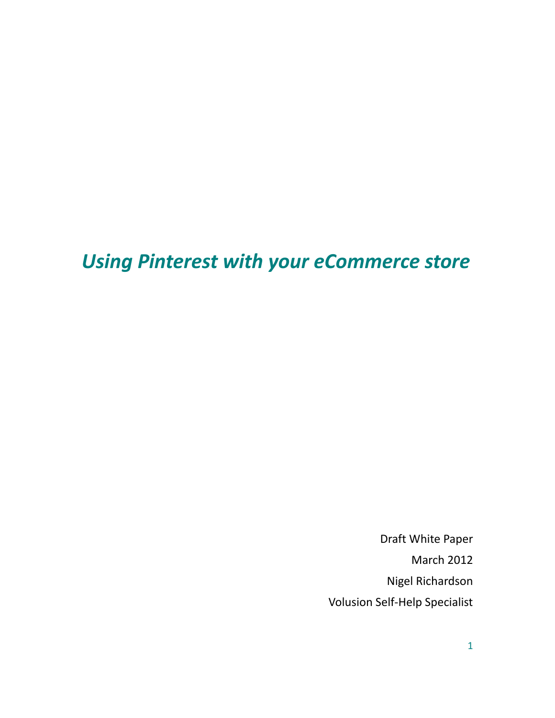# *Using Pinterest with your eCommerce store*

Draft White Paper March 2012 Nigel Richardson Volusion Self-Help Specialist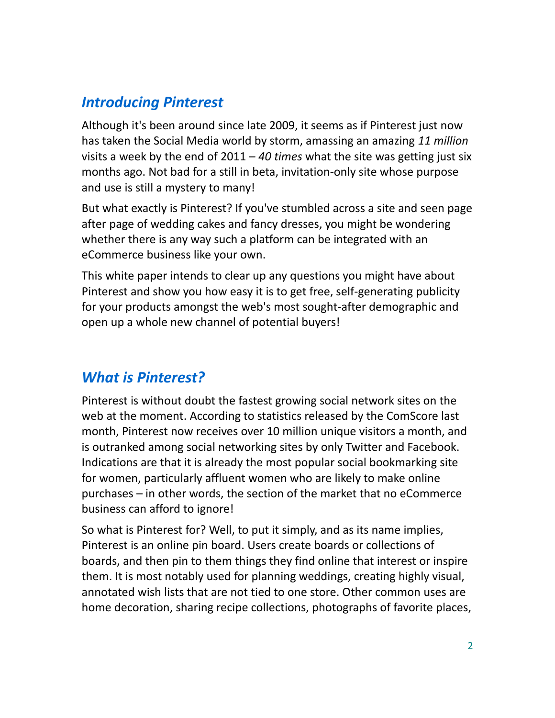## *Introducing Pinterest*

Although it's been around since late 2009, it seems as if Pinterest just now has taken the Social Media world by storm, amassing an amazing *11 million* visits a week by the end of 2011 – *40 times* what the site was getting just six months ago. Not bad for a still in beta, invitation-only site whose purpose and use is still a mystery to many!

But what exactly is Pinterest? If you've stumbled across a site and seen page after page of wedding cakes and fancy dresses, you might be wondering whether there is any way such a platform can be integrated with an eCommerce business like your own.

This white paper intends to clear up any questions you might have about Pinterest and show you how easy it is to get free, self-generating publicity for your products amongst the web's most sought-after demographic and open up a whole new channel of potential buyers!

# *What is Pinterest?*

Pinterest is without doubt the fastest growing social network sites on the web at the moment. According to statistics released by the ComScore last month, Pinterest now receives over 10 million unique visitors a month, and is outranked among social networking sites by only Twitter and Facebook. Indications are that it is already the most popular social bookmarking site for women, particularly affluent women who are likely to make online purchases – in other words, the section of the market that no eCommerce business can afford to ignore!

So what is Pinterest for? Well, to put it simply, and as its name implies, Pinterest is an online pin board. Users create boards or collections of boards, and then pin to them things they find online that interest or inspire them. It is most notably used for planning weddings, creating highly visual, annotated wish lists that are not tied to one store. Other common uses are home decoration, sharing recipe collections, photographs of favorite places,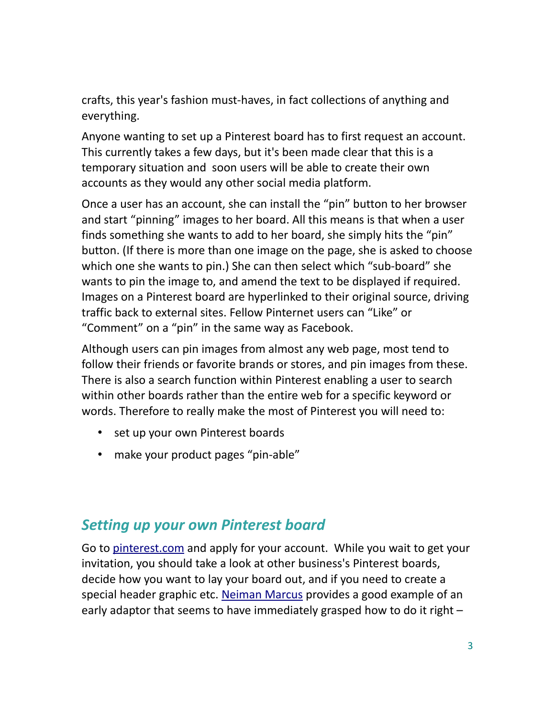crafts, this year's fashion must-haves, in fact collections of anything and everything.

Anyone wanting to set up a Pinterest board has to first request an account. This currently takes a few days, but it's been made clear that this is a temporary situation and soon users will be able to create their own accounts as they would any other social media platform.

Once a user has an account, she can install the "pin" button to her browser and start "pinning" images to her board. All this means is that when a user finds something she wants to add to her board, she simply hits the "pin" button. (If there is more than one image on the page, she is asked to choose which one she wants to pin.) She can then select which "sub-board" she wants to pin the image to, and amend the text to be displayed if required. Images on a Pinterest board are hyperlinked to their original source, driving traffic back to external sites. Fellow Pinternet users can "Like" or "Comment" on a "pin" in the same way as Facebook.

Although users can pin images from almost any web page, most tend to follow their friends or favorite brands or stores, and pin images from these. There is also a search function within Pinterest enabling a user to search within other boards rather than the entire web for a specific keyword or words. Therefore to really make the most of Pinterest you will need to:

- set up your own Pinterest boards
- make your product pages "pin-able"

## *Setting up your own Pinterest board*

Go to [pinterest.com](http://pinterest.com/) and apply for your account. While you wait to get your invitation, you should take a look at other business's Pinterest boards, decide how you want to lay your board out, and if you need to create a special header graphic etc. [Neiman Marcus](http://www.pinterest.com/neimanmarcus/) provides a good example of an early adaptor that seems to have immediately grasped how to do it right –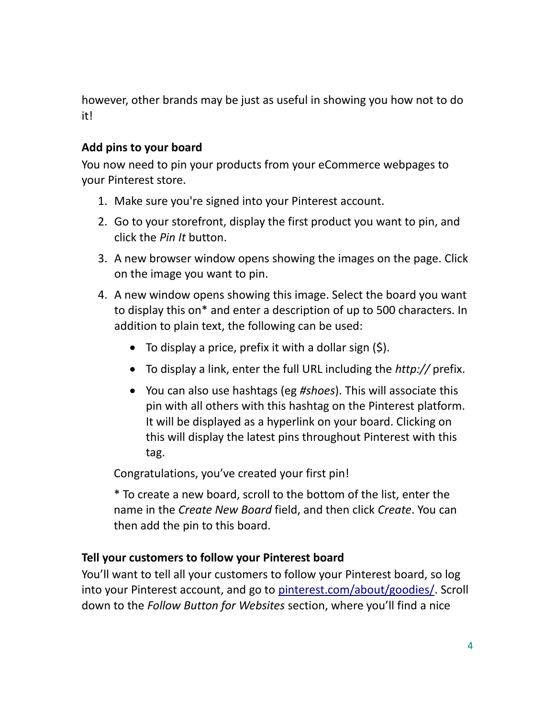however, other brands may be just as useful in showing you how not to do it!

#### **Add pins to your board**

You now need to pin your products from your eCommerce webpages to your Pinterest store.

- 1. Make sure you're signed into your Pinterest account.
- 2. Go to your storefront, display the first product you want to pin, and click the *Pin It* button.
- 3. A new browser window opens showing the images on the page. Click on the image you want to pin.
- 4. A new window opens showing this image. Select the board you want to display this on\* and enter a description of up to 500 characters. In addition to plain text, the following can be used:
	- $\bullet$  To display a price, prefix it with a dollar sign (\$).
	- To display a link, enter the full URL including the *http://* prefix.
	- You can also use hashtags (eg *#shoes*). This will associate this pin with all others with this hashtag on the Pinterest platform. It will be displayed as a hyperlink on your board. Clicking on this will display the latest pins throughout Pinterest with this tag.

Congratulations, you've created your first pin!

\* To create a new board, scroll to the bottom of the list, enter the name in the *Create New Board* field, and then click *Create*. You can then add the pin to this board.

#### **Tell your customers to follow your Pinterest board**

You'll want to tell all your customers to follow your Pinterest board, so log into your Pinterest account, and go to [pinterest.com/about/goodies/.](http://pinterest.com/about/goodies) Scroll down to the *Follow Button for Websites* section, where you'll find a nice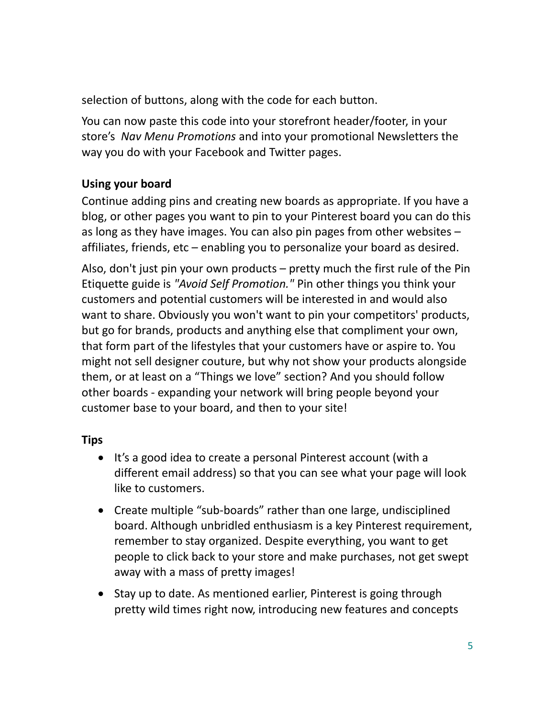selection of buttons, along with the code for each button.

You can now paste this code into your storefront header/footer, in your store's *Nav Menu Promotions* and into your promotional Newsletters the way you do with your Facebook and Twitter pages.

#### **Using your board**

Continue adding pins and creating new boards as appropriate. If you have a blog, or other pages you want to pin to your Pinterest board you can do this as long as they have images. You can also pin pages from other websites – affiliates, friends, etc – enabling you to personalize your board as desired.

Also, don't just pin your own products – pretty much the first rule of the Pin Etiquette guide is *"Avoid Self Promotion."* Pin other things you think your customers and potential customers will be interested in and would also want to share. Obviously you won't want to pin your competitors' products, but go for brands, products and anything else that compliment your own, that form part of the lifestyles that your customers have or aspire to. You might not sell designer couture, but why not show your products alongside them, or at least on a "Things we love" section? And you should follow other boards - expanding your network will bring people beyond your customer base to your board, and then to your site!

#### **Tips**

- It's a good idea to create a personal Pinterest account (with a different email address) so that you can see what your page will look like to customers.
- Create multiple "sub-boards" rather than one large, undisciplined board. Although unbridled enthusiasm is a key Pinterest requirement, remember to stay organized. Despite everything, you want to get people to click back to your store and make purchases, not get swept away with a mass of pretty images!
- Stay up to date. As mentioned earlier, Pinterest is going through pretty wild times right now, introducing new features and concepts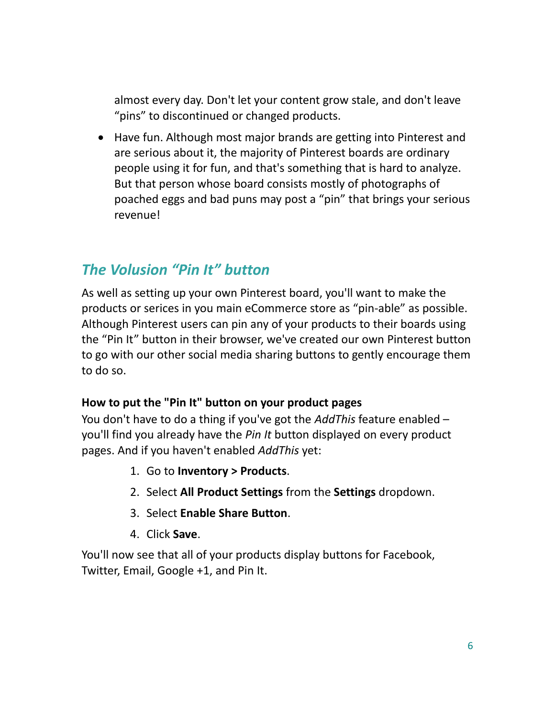almost every day. Don't let your content grow stale, and don't leave "pins" to discontinued or changed products.

 Have fun. Although most major brands are getting into Pinterest and are serious about it, the majority of Pinterest boards are ordinary people using it for fun, and that's something that is hard to analyze. But that person whose board consists mostly of photographs of poached eggs and bad puns may post a "pin" that brings your serious revenue!

## *The Volusion "Pin It" button*

As well as setting up your own Pinterest board, you'll want to make the products or serices in you main eCommerce store as "pin-able" as possible. Although Pinterest users can pin any of your products to their boards using the "Pin It" button in their browser, we've created our own Pinterest button to go with our other social media sharing buttons to gently encourage them to do so.

#### **How to put the "Pin It" button on your product pages**

You don't have to do a thing if you've got the *AddThis* feature enabled – you'll find you already have the *Pin It* button displayed on every product pages. And if you haven't enabled *AddThis* yet:

- 1. Go to **Inventory > Products**.
- 2. Select **All Product Settings** from the **Settings** dropdown.
- 3. Select **Enable Share Button**.
- 4. Click **Save**.

You'll now see that all of your products display buttons for Facebook, Twitter, Email, Google +1, and Pin It.